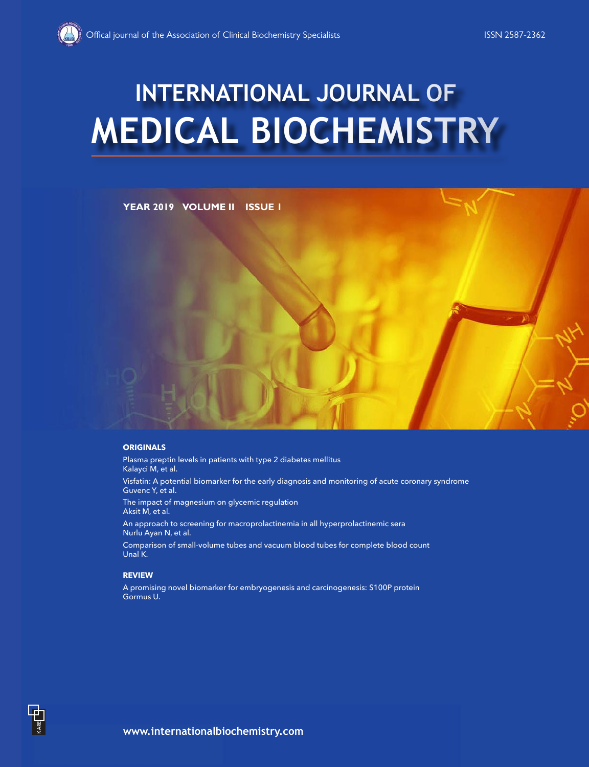# **MEDICAL BIOCHEMISTRY INTERNATIONAL JOURNAL OF**



#### **ORIGINALS**

Plasma preptin levels in patients with type 2 diabetes mellitus Kalayci M, et al.

Visfatin: A potential biomarker for the early diagnosis and monitoring of acute coronary syndrome Guvenc Y, et al.

The impact of magnesium on glycemic regulation Aksit M, et al.

An approach to screening for macroprolactinemia in all hyperprolactinemic sera Nurlu Ayan N, et al.

Comparison of small-volume tubes and vacuum blood tubes for complete blood count Unal K.

#### **REVIEW**

A promising novel biomarker for embryogenesis and carcinogenesis: S100P protein Gormus U.

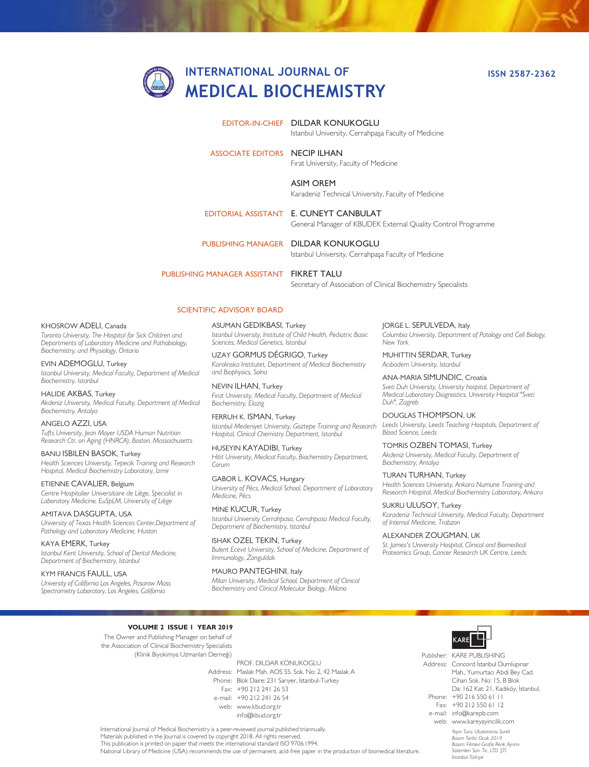## **INTERNATIONAL JOURNAL OF MEDICAL BIOCHEMISTRY**

**ISSN 2587-2362**

#### EDITOR-IN-CHIEF DILDAR KONUKOGLU

Istanbul University, Cerrahpaşa Faculty of Medicine

#### ASSOCIATE EDITORS NECIP ILHAN

Fırat University, Faculty of Medicine

ASIM OREM Karadeniz Technical University, Faculty of Medicine

EDITORIAL ASSISTANT E. CUNEYT CANBULAT General Manager of KBUDEK External Quality Control Programme

PUBLISHING MANAGER DILDAR KONUKOGLU

Istanbul University, Cerrahpaşa Faculty of Medicine

PUBLISHING MANAGER ASSISTANT

FIKRET TALU Secretary of Association of Clinical Biochemistry Specialists

#### SCIENTIFIC ADVISORY BOARD

**ASUMAN GEDIKBASI, Turkey** *Istanbul University, Institute of Child Health, Pediatric Basic Sciences, Medical Genetics, Istanbul*

UZAY GORMUS DÉGRIGO, Turkey *Karolinska Institutet, Department of Medical Biochemistry and Biophysics, Solna*

NEVIN ILHAN, Turkey *Firat University, Medical Faculty, Department of Medical Biochemistry, Elazig*

FERRUH K. ISMAN, Turkey *Istanbul Medeniyet University, Goztepe Training and Research Hospital, Clinical Chemistry Department, Istanbul*

HUSEYIN KAYADIBI, Turkey *Hitit University, Medical Faculty, Biochemistry Department, Corum*

GABOR L. KOVACS, Hungary *University of Pécs, Medical School, Department of Laboratory Medicine, Pécs*

MINE KUCUR, Turkey *Istanbul University Cerrahpasa, Cerrahpasa Medical Faculty, Department of Biochemistry, Istanbul*

ISHAK OZEL TEKIN, Turkey *Bulent Ecevit University, School of Medicine, Department of Immunology, Zonguldak*

MAURO PANTEGHINI, Italy *Milan University, Medical School, Department of Clinical Biochemistry and Clinical Molecular Biology, Milano*

JORGE L. SEPULVEDA, Italy *Columbia University, Department of Patology and Cell Biology, New York*

MUHITTIN SERDAR, Turkey *Acıbadem University, Istanbul*

ANA-MARIA SIMUNDIC, Croatia *Sveti Duh University, University hospital, Department of Medical Laboratory Diagnostics, University Hospital "Sveti Duh", Zagreb*

DOUGLAS THOMPSON, UK *Leeds University, Leeds Teaching Hospitals, Department of Blood Science, Leeds*

TOMRIS OZBEN TOMASI, Turkey *Akdeniz University, Medical Faculty, Department of Biochemistry, Antalya*

TURAN TURHAN, Turkey *Health Sciences University, Ankara Numune Training and Research Hospital, Medical Biochemistry Laboratory, Ankara*

SUKRU ULUSOY, Turkey *Karadeniz Technical University, Medical Faculty, Department of Internal Medicine, Trabzon*

ALEXANDER ZOUGMAN, UK *St. James's University Hospital, Clinical and Biomedical Proteomics Group, Cancer Research UK Centre, Leeds*

#### **VOLUME 2 ISSUE 1 YEAR 2019**

The Owner and Publishing Manager on behalf of the Association of Clinical Biochemistry Specialists (Klinik Biyokimya Uzmanları Derneği)

Address: Maslak Mah. AOS 55. Sok. No: 2, 42 Maslak A Phone: Blok Daire: 231 Sarıyer, İstanbul-Turkey Fax: +90 212 241 26 53 e-mail: +90 212 241 26 54 web: www.kbud.org.tr PROF. DILDAR KONUKOGLU info@kbud.org.tr



*Yayın Turu: Uluslararası Sureli*  Publisher: KARE PUBLISHING Address: Concord İstanbul Dumlupınar Phone: +90 216 550 61 11 Fax: +90 212 550 61 12 e-mail: info@karepb.com web: www.kareyayincilik.com Mah., Yumurtacı Abdi Bey Cad. Cihan Sok. No: 15, B Blok Da: 162 Kat: 21, Kadıköy, İstanbul,

International Journal of Medical Biochemistry is a peer-reviewed journal published triannually. Materials published in the Journal is covered by copyright 2018. All rights reserved. This publication is printed on paper that meets the international standard ISO 9706:1994.

National Library of Medicine (USA) recommends the use of permanent, acid-free paper in the production of biomedical literature.

*Basım Tarihi: Ocak 2019 Basım: Filmevi Grafik Renk Ayrımı Sistemleri San. Tic. LTD. ŞTİ. İstanbul-Türkiye*

#### KHOSROW ADELI, Canada

*Toronto University, The Hospital for Sick Children and Departments of Laboratory Medicine and Pathobiology, Biochemistry, and Physiology, Ontario*

EVIN ADEMOGLU, Turkey *Istanbul University, Medical Faculty, Department of Medical Biochemistry, Istanbul*

#### HALIDE AKBAS, Turkey

*Akdeniz University, Medical Faculty, Department of Medical Biochemistry, Antalya*

#### ANGELO AZZI, USA

*Tufts University, Jean Mayer USDA Human Nutrition Research Ctr. on Aging (HNRCA), Boston, Massachusetts*

BANU ISBILEN BASOK, Turkey *Health Sciences University, Tepecik Training and Research Hospital, Medical Biochemistry Laboratory, Izmir*

ETIENNE CAVALIER, Belgium *Centre Hospitalier Universitaire de Liège, Specialist in Laboratory Medicine, EuSpLM, University of Liège*

AMITAVA DASGUPTA, USA *University of Texas Health Sciences Center,Department of Pathology and Laboratory Medicine, Huston*

KAYA EMERK, Turkey *Istanbul Kent University, School of Dental Medicine, Department of Biochemistry, Istanbul*

KYM FRANCIS FAULL, USA

*University of California Los Angeles, Pasarow Mass Spectrometry Laboratory, Los Angeles, California*